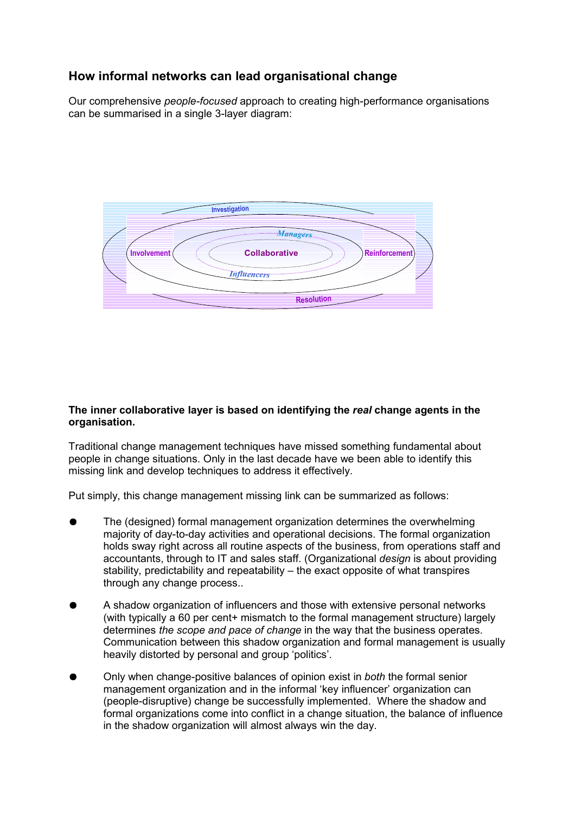# **How informal networks can lead organisational change**

Our comprehensive *people-focused* approach to creating high-performance organisations can be summarised in a single 3-layer diagram:



## **The inner collaborative layer is based on identifying the** *real* **change agents in the organisation.**

Traditional change management techniques have missed something fundamental about people in change situations. Only in the last decade have we been able to identify this missing link and develop techniques to address it effectively.

Put simply, this change management missing link can be summarized as follows:

- The (designed) formal management organization determines the overwhelming majority of day-to-day activities and operational decisions. The formal organization holds sway right across all routine aspects of the business, from operations staff and accountants, through to IT and sales staff. (Organizational *design* is about providing stability, predictability and repeatability – the exact opposite of what transpires through any change process..
- A shadow organization of influencers and those with extensive personal networks (with typically a 60 per cent+ mismatch to the formal management structure) largely determines *the scope and pace of change* in the way that the business operates. Communication between this shadow organization and formal management is usually heavily distorted by personal and group 'politics'.
- Only when change-positive balances of opinion exist in *both* the formal senior management organization and in the informal 'key influencer' organization can (people-disruptive) change be successfully implemented. Where the shadow and formal organizations come into conflict in a change situation, the balance of influence in the shadow organization will almost always win the day.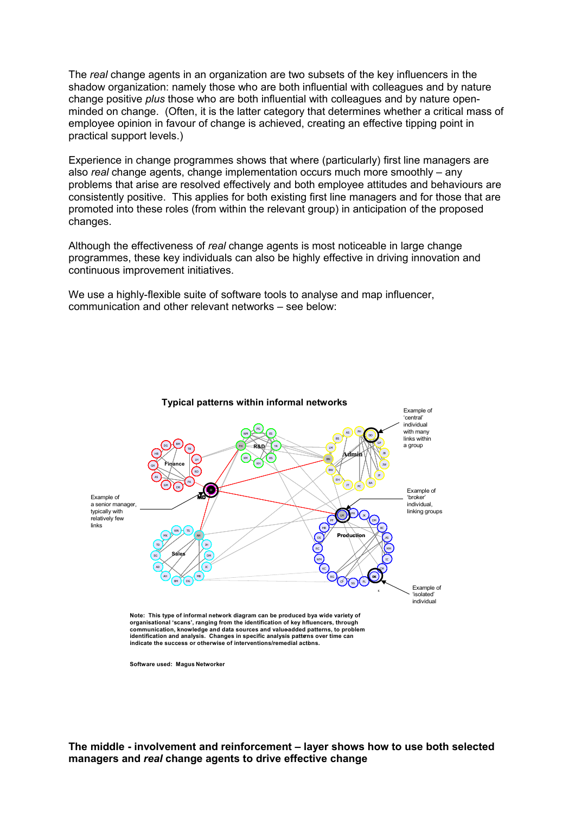The *real* change agents in an organization are two subsets of the key influencers in the shadow organization: namely those who are both influential with colleagues and by nature change positive *plus* those who are both influential with colleagues and by nature openminded on change. (Often, it is the latter category that determines whether a critical mass of employee opinion in favour of change is achieved, creating an effective tipping point in practical support levels.)

Experience in change programmes shows that where (particularly) first line managers are also *real* change agents, change implementation occurs much more smoothly – any problems that arise are resolved effectively and both employee attitudes and behaviours are consistently positive. This applies for both existing first line managers and for those that are promoted into these roles (from within the relevant group) in anticipation of the proposed changes.

Although the effectiveness of *real* change agents is most noticeable in large change programmes, these key individuals can also be highly effective in driving innovation and continuous improvement initiatives.

We use a highly-flexible suite of software tools to analyse and map influencer, communication and other relevant networks – see below:



**communication, knowledge and data sources and value-added patterns, to problem identification and analysis. Changes in specific analysis patterns over time can indicate the success or otherwise of interventions/remedial actions.**

**Software used: Magus Networker**

**The middle - involvement and reinforcement – layer shows how to use both selected managers and** *real* **change agents to drive effective change**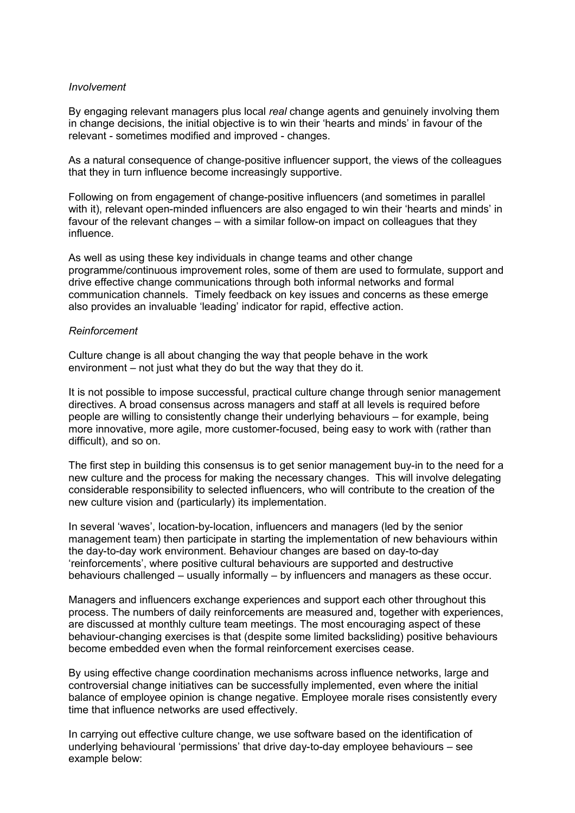### *Involvement*

By engaging relevant managers plus local *real* change agents and genuinely involving them in change decisions, the initial objective is to win their 'hearts and minds' in favour of the relevant - sometimes modified and improved - changes.

As a natural consequence of change-positive influencer support, the views of the colleagues that they in turn influence become increasingly supportive.

Following on from engagement of change-positive influencers (and sometimes in parallel with it), relevant open-minded influencers are also engaged to win their 'hearts and minds' in favour of the relevant changes – with a similar follow-on impact on colleagues that they influence.

As well as using these key individuals in change teams and other change programme/continuous improvement roles, some of them are used to formulate, support and drive effective change communications through both informal networks and formal communication channels. Timely feedback on key issues and concerns as these emerge also provides an invaluable 'leading' indicator for rapid, effective action.

### *Reinforcement*

Culture change is all about changing the way that people behave in the work environment – not just what they do but the way that they do it.

It is not possible to impose successful, practical culture change through senior management directives. A broad consensus across managers and staff at all levels is required before people are willing to consistently change their underlying behaviours – for example, being more innovative, more agile, more customer-focused, being easy to work with (rather than difficult), and so on.

The first step in building this consensus is to get senior management buy-in to the need for a new culture and the process for making the necessary changes. This will involve delegating considerable responsibility to selected influencers, who will contribute to the creation of the new culture vision and (particularly) its implementation.

In several 'waves', location-by-location, influencers and managers (led by the senior management team) then participate in starting the implementation of new behaviours within the day-to-day work environment. Behaviour changes are based on day-to-day 'reinforcements', where positive cultural behaviours are supported and destructive behaviours challenged – usually informally – by influencers and managers as these occur.

Managers and influencers exchange experiences and support each other throughout this process. The numbers of daily reinforcements are measured and, together with experiences, are discussed at monthly culture team meetings. The most encouraging aspect of these behaviour-changing exercises is that (despite some limited backsliding) positive behaviours become embedded even when the formal reinforcement exercises cease.

By using effective change coordination mechanisms across influence networks, large and controversial change initiatives can be successfully implemented, even where the initial balance of employee opinion is change negative. Employee morale rises consistently every time that influence networks are used effectively.

In carrying out effective culture change, we use software based on the identification of underlying behavioural 'permissions' that drive day-to-day employee behaviours – see example below: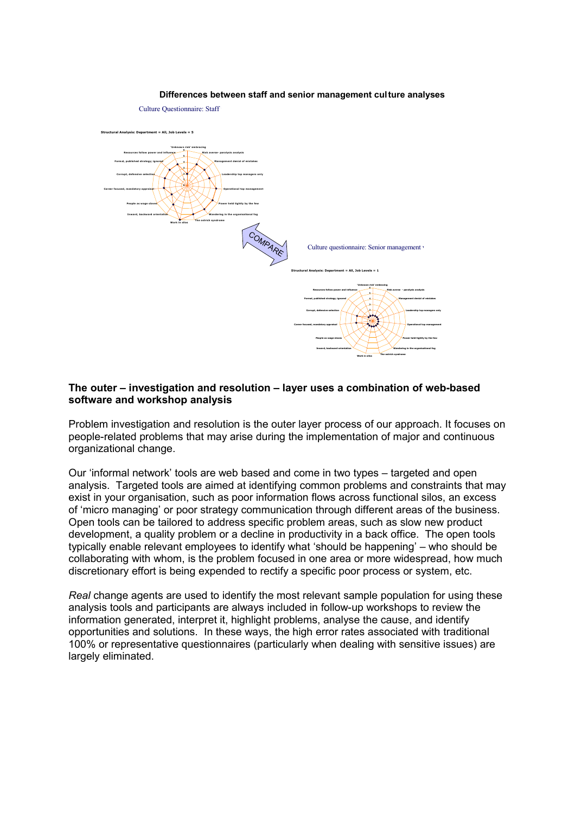#### **Figure 4.7: Differences between staff and senior management culture analyses**



#### **The outer – investigation and resolution – layer uses a combination of web-based software and workshop analysis**

Problem investigation and resolution is the outer layer process of our approach. It focuses on people-related problems that may arise during the implementation of major and continuous organizational change.

Our 'informal network' tools are web based and come in two types – targeted and open analysis. Targeted tools are aimed at identifying common problems and constraints that may exist in your organisation, such as poor information flows across functional silos, an excess of 'micro managing' or poor strategy communication through different areas of the business. Open tools can be tailored to address specific problem areas, such as slow new product development, a quality problem or a decline in productivity in a back office. The open tools typically enable relevant employees to identify what 'should be happening' – who should be collaborating with whom, is the problem focused in one area or more widespread, how much discretionary effort is being expended to rectify a specific poor process or system, etc.

*Real* change agents are used to identify the most relevant sample population for using these analysis tools and participants are always included in follow-up workshops to review the information generated, interpret it, highlight problems, analyse the cause, and identify opportunities and solutions. In these ways, the high error rates associated with traditional 100% or representative questionnaires (particularly when dealing with sensitive issues) are largely eliminated.